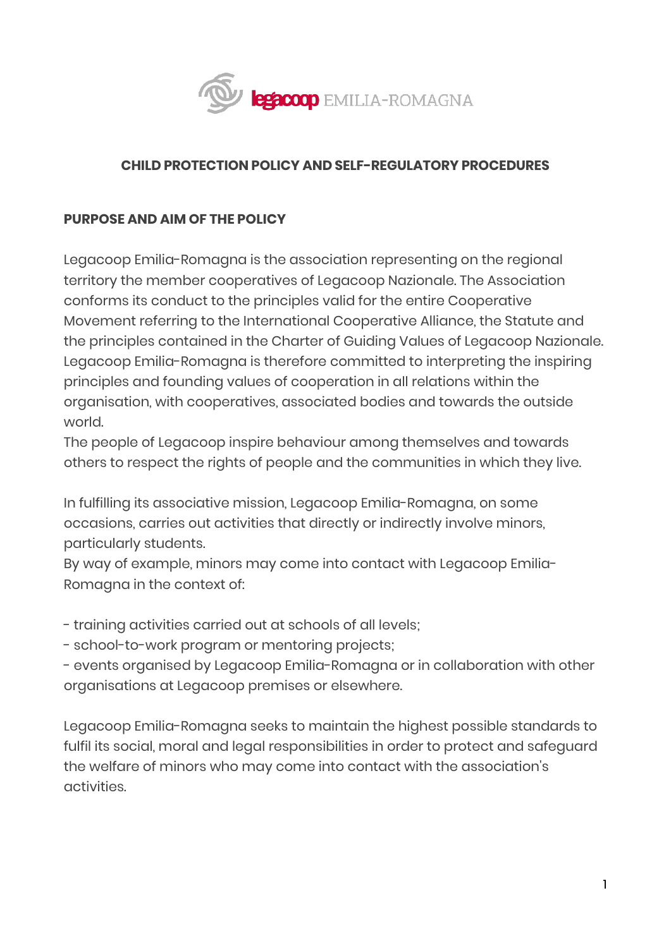

### **CHILD PROTECTION POLICY AND SELF-REGULATORY PROCEDURES**

### **PURPOSE AND AIM OF THE POLICY**

Legacoop Emilia-Romagna is the association representing on the regional territory the member cooperatives of Legacoop Nazionale. The Association conforms its conduct to the principles valid for the entire Cooperative Movement referring to the International Cooperative Alliance, the Statute and the principles contained in the Charter of Guiding Values of Legacoop Nazionale. Legacoop Emilia-Romagna is therefore committed to interpreting the inspiring principles and founding values of cooperation in all relations within the organisation, with cooperatives, associated bodies and towards the outside world.

The people of Legacoop inspire behaviour among themselves and towards others to respect the rights of people and the communities in which they live.

In fulfilling its associative mission, Legacoop Emilia-Romagna, on some occasions, carries out activities that directly or indirectly involve minors, particularly students.

By way of example, minors may come into contact with Legacoop Emilia-Romagna in the context of:

- training activities carried out at schools of all levels;

- school-to-work program or mentoring projects;

- events organised by Legacoop Emilia-Romagna or in collaboration with other organisations at Legacoop premises or elsewhere.

Legacoop Emilia-Romagna seeks to maintain the highest possible standards to fulfil its social, moral and legal responsibilities in order to protect and safeguard the welfare of minors who may come into contact with the association's activities.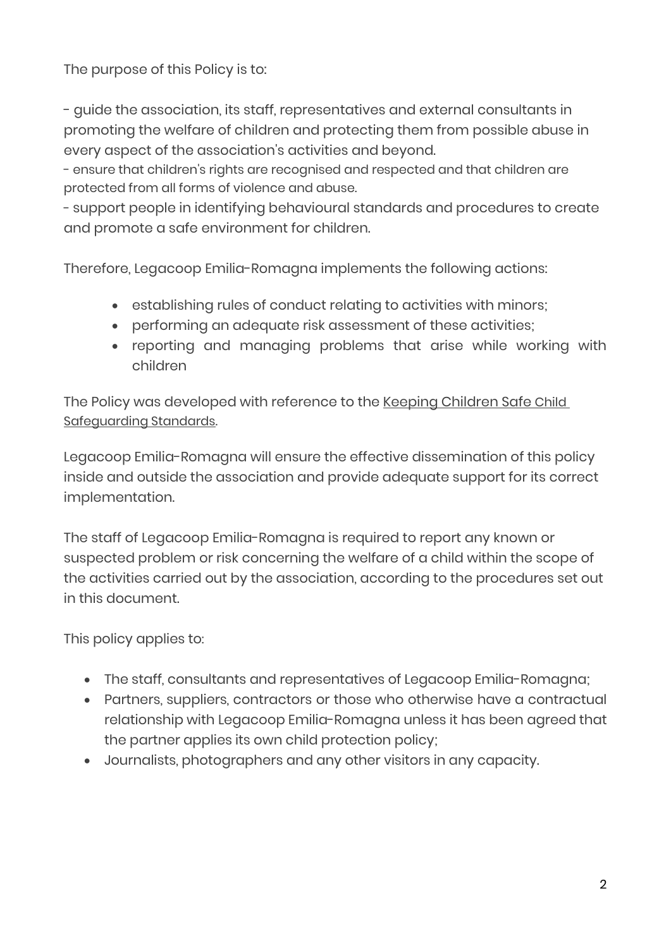The purpose of this Policy is to:

- guide the association, its staff, representatives and external consultants in promoting the welfare of children and protecting them from possible abuse in every aspect of the association's activities and beyond.

- ensure that children's rights are recognised and respected and that children are protected from all forms of violence and abuse.

- support people in identifying behavioural standards and procedures to create and promote a safe environment for children.

Therefore, Legacoop Emilia-Romagna implements the following actions:

- establishing rules of conduct relating to activities with minors;
- performing an adequate risk assessment of these activities;
- reporting and managing problems that arise while working with children

The Policy was developed with reference to the Keeping Children Safe Child [Safeguarding Standards.](https://ec.europa.eu/info/sites/default/files/standards_child_protection_kcsc_en_1.pdf)

Legacoop Emilia-Romagna will ensure the effective dissemination of this policy inside and outside the association and provide adequate support for its correct implementation.

The staff of Legacoop Emilia-Romagna is required to report any known or suspected problem or risk concerning the welfare of a child within the scope of the activities carried out by the association, according to the procedures set out in this document.

This policy applies to:

- The staff, consultants and representatives of Legacoop Emilia-Romagna;
- Partners, suppliers, contractors or those who otherwise have a contractual relationship with Legacoop Emilia-Romagna unless it has been agreed that the partner applies its own child protection policy;
- Journalists, photographers and any other visitors in any capacity.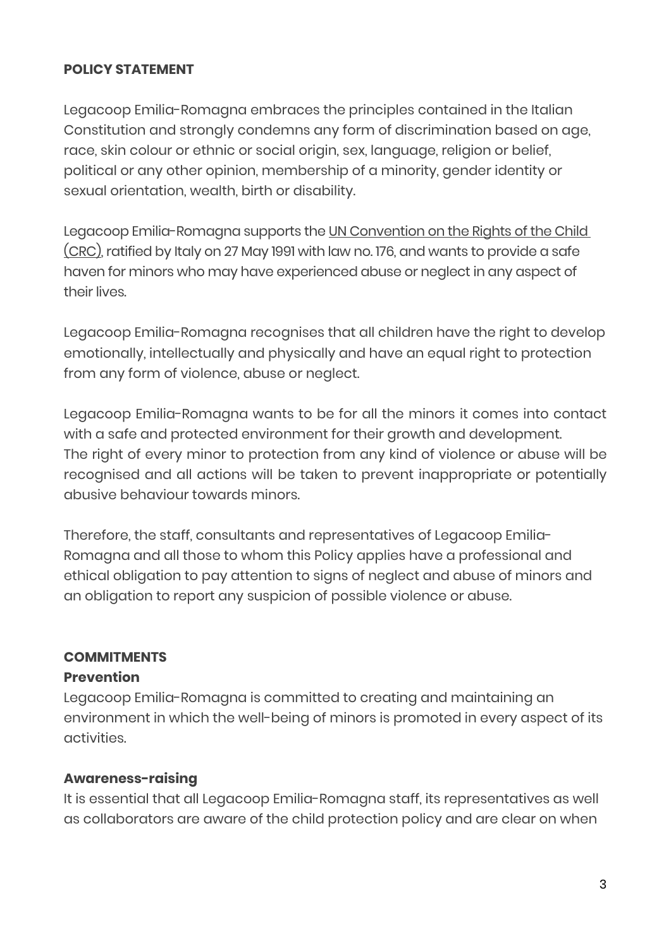#### **POLICY STATEMENT**

Legacoop Emilia-Romagna embraces the principles contained in the Italian Constitution and strongly condemns any form of discrimination based on age, race, skin colour or ethnic or social origin, sex, language, religion or belief, political or any other opinion, membership of a minority, gender identity or sexual orientation, wealth, birth or disability.

Legacoop Emilia-Romagna supports the UN Convention on the Rights of the Child [\(CRC\),](https://www.unicef.it/convenzione-diritti-infanzia/articoli/#:%7E:text=La%20Convenzione%20ONU%20sui%20diritti,176.) ratified by Italy on 27 May 1991 with law no. 176, and wants to provide a safe haven for minors who may have experienced abuse or neglect in any aspect of their lives.

Legacoop Emilia-Romagna recognises that all children have the right to develop emotionally, intellectually and physically and have an equal right to protection from any form of violence, abuse or neglect.

Legacoop Emilia-Romagna wants to be for all the minors it comes into contact with a safe and protected environment for their growth and development. The right of every minor to protection from any kind of violence or abuse will be recognised and all actions will be taken to prevent inappropriate or potentially abusive behaviour towards minors.

Therefore, the staff, consultants and representatives of Legacoop Emilia-Romagna and all those to whom this Policy applies have a professional and ethical obligation to pay attention to signs of neglect and abuse of minors and an obligation to report any suspicion of possible violence or abuse.

#### **COMMITMENTS**

#### **Prevention**

Legacoop Emilia-Romagna is committed to creating and maintaining an environment in which the well-being of minors is promoted in every aspect of its activities.

### **Awareness-raising**

It is essential that all Legacoop Emilia-Romagna staff, its representatives as well as collaborators are aware of the child protection policy and are clear on when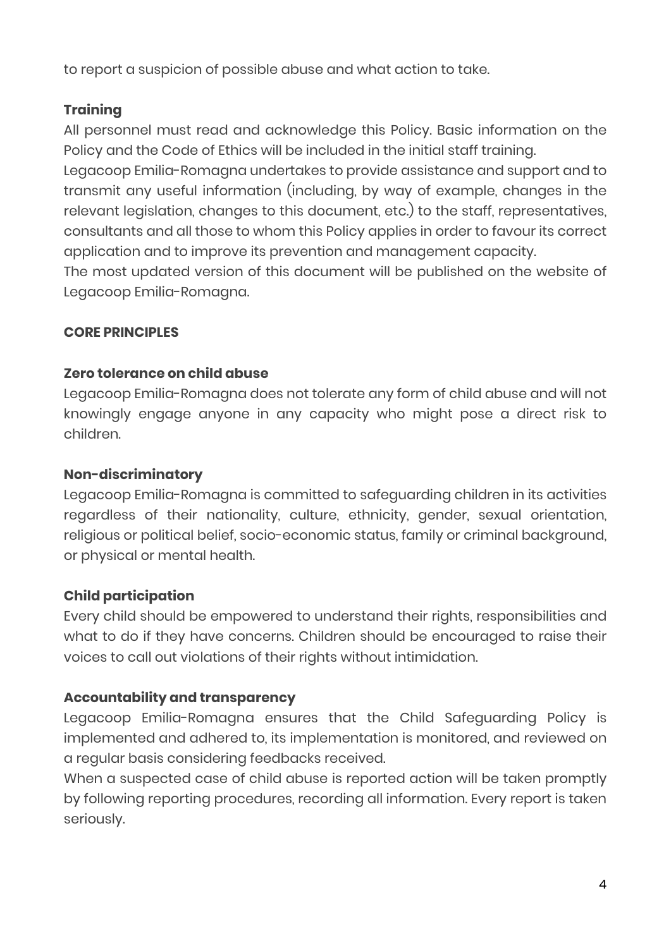to report a suspicion of possible abuse and what action to take.

# **Training**

All personnel must read and acknowledge this Policy. Basic information on the Policy and the Code of Ethics will be included in the initial staff training.

Legacoop Emilia-Romagna undertakes to provide assistance and support and to transmit any useful information (including, by way of example, changes in the relevant legislation, changes to this document, etc.) to the staff, representatives, consultants and all those to whom this Policy applies in order to favour its correct application and to improve its prevention and management capacity.

The most updated version of this document will be published on the website of Legacoop Emilia-Romagna.

## **CORE PRINCIPLES**

## **Zero tolerance on child abuse**

Legacoop Emilia-Romagna does not tolerate any form of child abuse and will not knowingly engage anyone in any capacity who might pose a direct risk to children.

### **Non-discriminatory**

Legacoop Emilia-Romagna is committed to safeguarding children in its activities regardless of their nationality, culture, ethnicity, gender, sexual orientation, religious or political belief, socio-economic status, family or criminal background, or physical or mental health.

# **Child participation**

Every child should be empowered to understand their rights, responsibilities and what to do if they have concerns. Children should be encouraged to raise their voices to call out violations of their rights without intimidation.

# **Accountability and transparency**

Legacoop Emilia-Romagna ensures that the Child Safeguarding Policy is implemented and adhered to, its implementation is monitored, and reviewed on a regular basis considering feedbacks received.

When a suspected case of child abuse is reported action will be taken promptly by following reporting procedures, recording all information. Every report is taken seriously.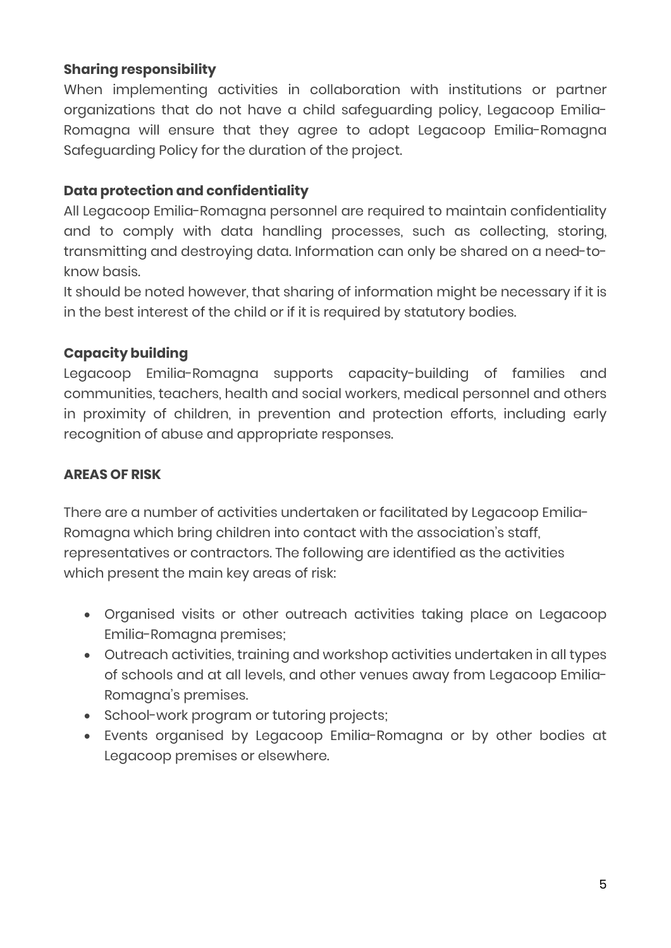## **Sharing responsibility**

When implementing activities in collaboration with institutions or partner organizations that do not have a child safeguarding policy, Legacoop Emilia-Romagna will ensure that they agree to adopt Legacoop Emilia-Romagna Safeguarding Policy for the duration of the project.

## **Data protection and confidentiality**

All Legacoop Emilia-Romagna personnel are required to maintain confidentiality and to comply with data handling processes, such as collecting, storing, transmitting and destroying data. Information can only be shared on a need-toknow basis.

It should be noted however, that sharing of information might be necessary if it is in the best interest of the child or if it is required by statutory bodies.

## **Capacity building**

Legacoop Emilia-Romagna supports capacity-building of families and communities, teachers, health and social workers, medical personnel and others in proximity of children, in prevention and protection efforts, including early recognition of abuse and appropriate responses.

### **AREAS OF RISK**

There are a number of activities undertaken or facilitated by Legacoop Emilia-Romagna which bring children into contact with the association's staff, representatives or contractors. The following are identified as the activities which present the main key areas of risk:

- Organised visits or other outreach activities taking place on Legacoop Emilia-Romagna premises;
- Outreach activities, training and workshop activities undertaken in all types of schools and at all levels, and other venues away from Legacoop Emilia-Romagna's premises.
- School-work program or tutoring projects;
- Events organised by Legacoop Emilia-Romagna or by other bodies at Legacoop premises or elsewhere.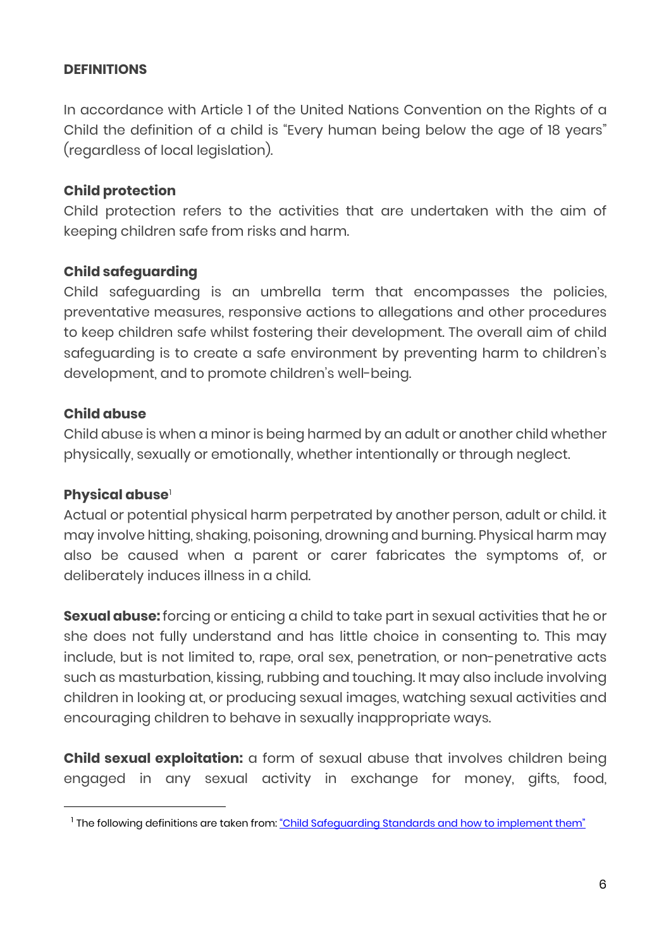#### **DEFINITIONS**

In accordance with Article 1 of the United Nations Convention on the Rights of a Child the definition of a child is "Every human being below the age of 18 years" (regardless of local legislation).

### **Child protection**

Child protection refers to the activities that are undertaken with the aim of keeping children safe from risks and harm.

### **Child safeguarding**

Child safeguarding is an umbrella term that encompasses the policies, preventative measures, responsive actions to allegations and other procedures to keep children safe whilst fostering their development. The overall aim of child safeguarding is to create a safe environment by preventing harm to children's development, and to promote children's well-being.

#### **Child abuse**

Child abuse is when a minor is being harmed by an adult or another child whether physically, sexually or emotionally, whether intentionally or through neglect.

#### **Physical abuse**[1](#page-5-0)

Actual or potential physical harm perpetrated by another person, adult or child. it may involve hitting, shaking, poisoning, drowning and burning. Physical harm may also be caused when a parent or carer fabricates the symptoms of, or deliberately induces illness in a child.

**Sexual abuse:** forcing or enticing a child to take part in sexual activities that he or she does not fully understand and has little choice in consenting to. This may include, but is not limited to, rape, oral sex, penetration, or non-penetrative acts such as masturbation, kissing, rubbing and touching. It may also include involving children in looking at, or producing sexual images, watching sexual activities and encouraging children to behave in sexually inappropriate ways.

**Child sexual exploitation:** a form of sexual abuse that involves children being engaged in any sexual activity in exchange for money, gifts, food,

<span id="page-5-0"></span><sup>&</sup>lt;sup>1</sup> The following definitions are taken from: ["Child Safeguarding Standards and how to implement them"](https://ec.europa.eu/info/sites/default/files/standards_child_protection_kcsc_en_1.pdf)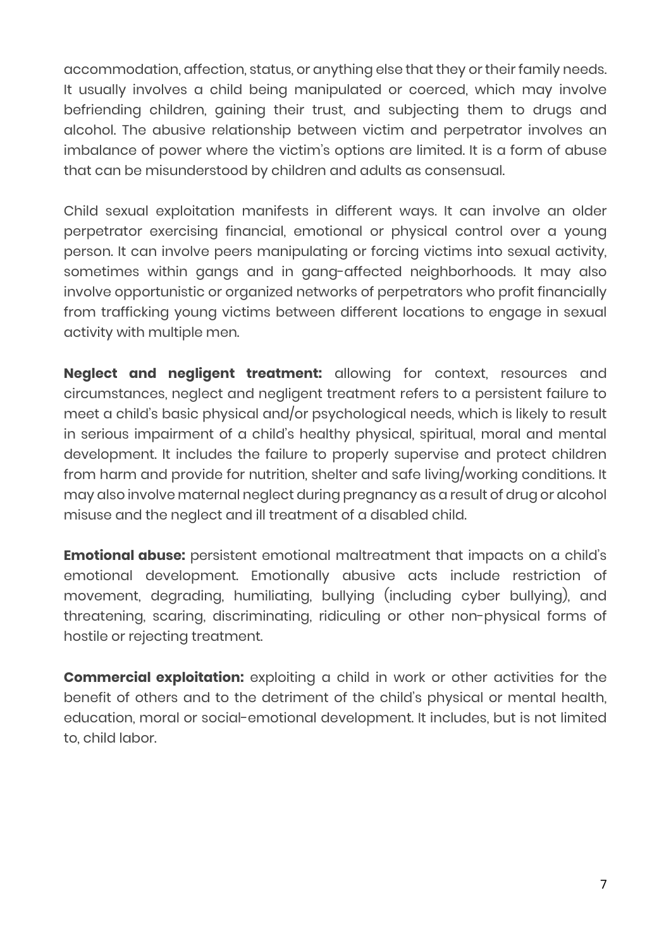accommodation, affection, status, or anything else that they or their family needs. It usually involves a child being manipulated or coerced, which may involve befriending children, gaining their trust, and subjecting them to drugs and alcohol. The abusive relationship between victim and perpetrator involves an imbalance of power where the victim's options are limited. It is a form of abuse that can be misunderstood by children and adults as consensual.

Child sexual exploitation manifests in different ways. It can involve an older perpetrator exercising financial, emotional or physical control over a young person. It can involve peers manipulating or forcing victims into sexual activity, sometimes within gangs and in gang-affected neighborhoods. It may also involve opportunistic or organized networks of perpetrators who profit financially from trafficking young victims between different locations to engage in sexual activity with multiple men.

**Neglect and negligent treatment:** allowing for context, resources and circumstances, neglect and negligent treatment refers to a persistent failure to meet a child's basic physical and/or psychological needs, which is likely to result in serious impairment of a child's healthy physical, spiritual, moral and mental development. It includes the failure to properly supervise and protect children from harm and provide for nutrition, shelter and safe living/working conditions. It may also involve maternal neglect during pregnancy as a result of drug or alcohol misuse and the neglect and ill treatment of a disabled child.

**Emotional abuse:** persistent emotional maltreatment that impacts on a child's emotional development. Emotionally abusive acts include restriction of movement, degrading, humiliating, bullying (including cyber bullying), and threatening, scaring, discriminating, ridiculing or other non-physical forms of hostile or rejecting treatment.

**Commercial exploitation:** exploiting a child in work or other activities for the benefit of others and to the detriment of the child's physical or mental health, education, moral or social-emotional development. It includes, but is not limited to, child labor.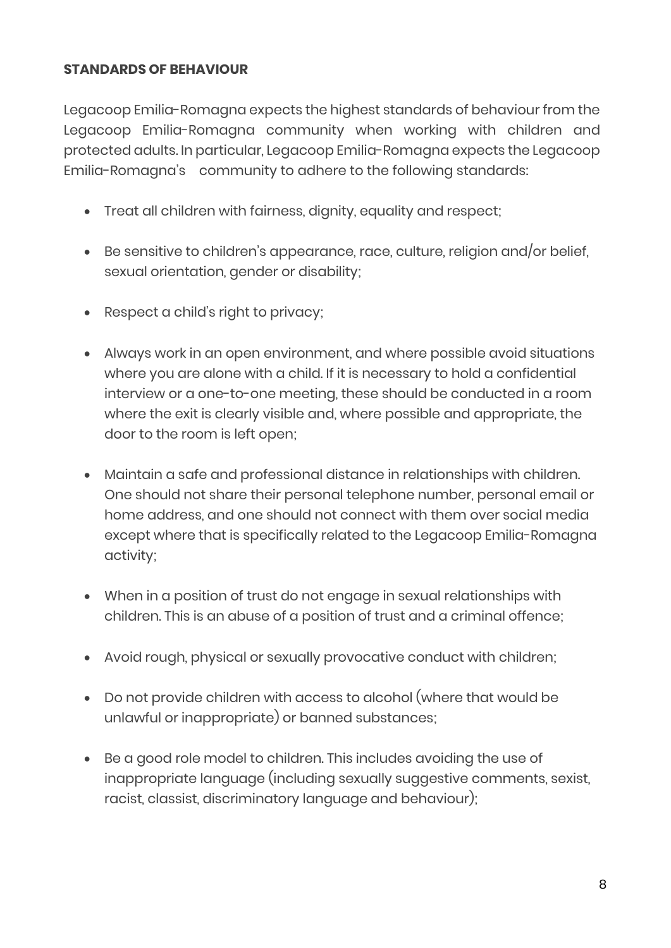### **STANDARDS OF BEHAVIOUR**

Legacoop Emilia-Romagna expects the highest standards of behaviour from the Legacoop Emilia-Romagna community when working with children and protected adults. In particular, Legacoop Emilia-Romagna expects the Legacoop Emilia-Romagna's community to adhere to the following standards:

- Treat all children with fairness, dignity, equality and respect;
- Be sensitive to children's appearance, race, culture, religion and/or belief, sexual orientation, gender or disability;
- Respect a child's right to privacy;
- Always work in an open environment, and where possible avoid situations where you are alone with a child. If it is necessary to hold a confidential interview or a one-to-one meeting, these should be conducted in a room where the exit is clearly visible and, where possible and appropriate, the door to the room is left open;
- Maintain a safe and professional distance in relationships with children. One should not share their personal telephone number, personal email or home address, and one should not connect with them over social media except where that is specifically related to the Legacoop Emilia-Romagna activity;
- When in a position of trust do not engage in sexual relationships with children. This is an abuse of a position of trust and a criminal offence;
- Avoid rough, physical or sexually provocative conduct with children;
- Do not provide children with access to alcohol (where that would be unlawful or inappropriate) or banned substances;
- Be a good role model to children. This includes avoiding the use of inappropriate language (including sexually suggestive comments, sexist, racist, classist, discriminatory language and behaviour);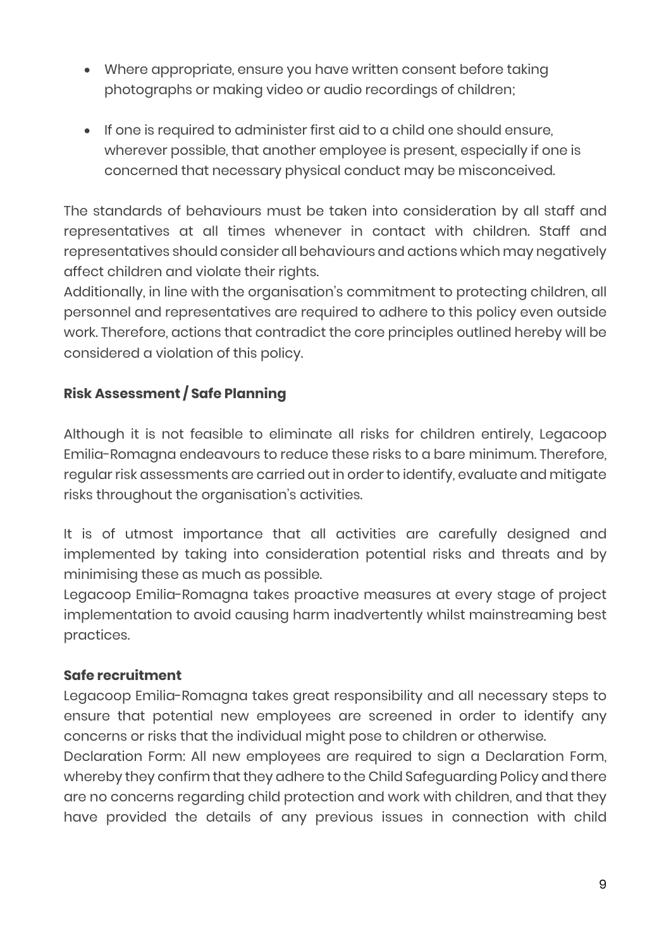- Where appropriate, ensure you have written consent before taking photographs or making video or audio recordings of children;
- If one is required to administer first aid to a child one should ensure, wherever possible, that another employee is present, especially if one is concerned that necessary physical conduct may be misconceived.

The standards of behaviours must be taken into consideration by all staff and representatives at all times whenever in contact with children. Staff and representatives should consider all behaviours and actions which may negatively affect children and violate their rights.

Additionally, in line with the organisation's commitment to protecting children, all personnel and representatives are required to adhere to this policy even outside work. Therefore, actions that contradict the core principles outlined hereby will be considered a violation of this policy.

# **Risk Assessment / Safe Planning**

Although it is not feasible to eliminate all risks for children entirely, Legacoop Emilia-Romagna endeavours to reduce these risks to a bare minimum. Therefore, regular risk assessments are carried out in order to identify, evaluate and mitigate risks throughout the organisation's activities.

It is of utmost importance that all activities are carefully designed and implemented by taking into consideration potential risks and threats and by minimising these as much as possible.

Legacoop Emilia-Romagna takes proactive measures at every stage of project implementation to avoid causing harm inadvertently whilst mainstreaming best practices.

### **Safe recruitment**

Legacoop Emilia-Romagna takes great responsibility and all necessary steps to ensure that potential new employees are screened in order to identify any concerns or risks that the individual might pose to children or otherwise.

Declaration Form: All new employees are required to sign a Declaration Form, whereby they confirm that they adhere to the Child Safeguarding Policy and there are no concerns regarding child protection and work with children, and that they have provided the details of any previous issues in connection with child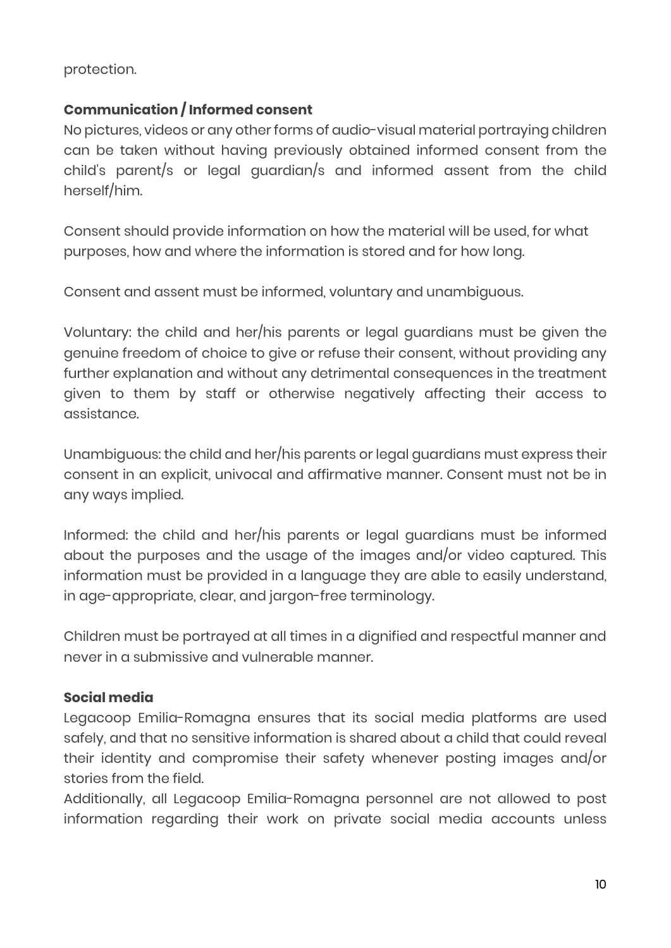protection.

## **Communication / Informed consent**

No pictures, videos or any other forms of audio-visual material portraying children can be taken without having previously obtained informed consent from the child's parent/s or legal guardian/s and informed assent from the child herself/him.

Consent should provide information on how the material will be used, for what purposes, how and where the information is stored and for how long.

Consent and assent must be informed, voluntary and unambiguous.

Voluntary: the child and her/his parents or legal guardians must be given the genuine freedom of choice to give or refuse their consent, without providing any further explanation and without any detrimental consequences in the treatment given to them by staff or otherwise negatively affecting their access to assistance.

Unambiguous: the child and her/his parents or legal guardians must express their consent in an explicit, univocal and affirmative manner. Consent must not be in any ways implied.

Informed: the child and her/his parents or legal guardians must be informed about the purposes and the usage of the images and/or video captured. This information must be provided in a language they are able to easily understand, in age-appropriate, clear, and jargon-free terminology.

Children must be portrayed at all times in a dignified and respectful manner and never in a submissive and vulnerable manner.

### **Social media**

Legacoop Emilia-Romagna ensures that its social media platforms are used safely, and that no sensitive information is shared about a child that could reveal their identity and compromise their safety whenever posting images and/or stories from the field.

Additionally, all Legacoop Emilia-Romagna personnel are not allowed to post information regarding their work on private social media accounts unless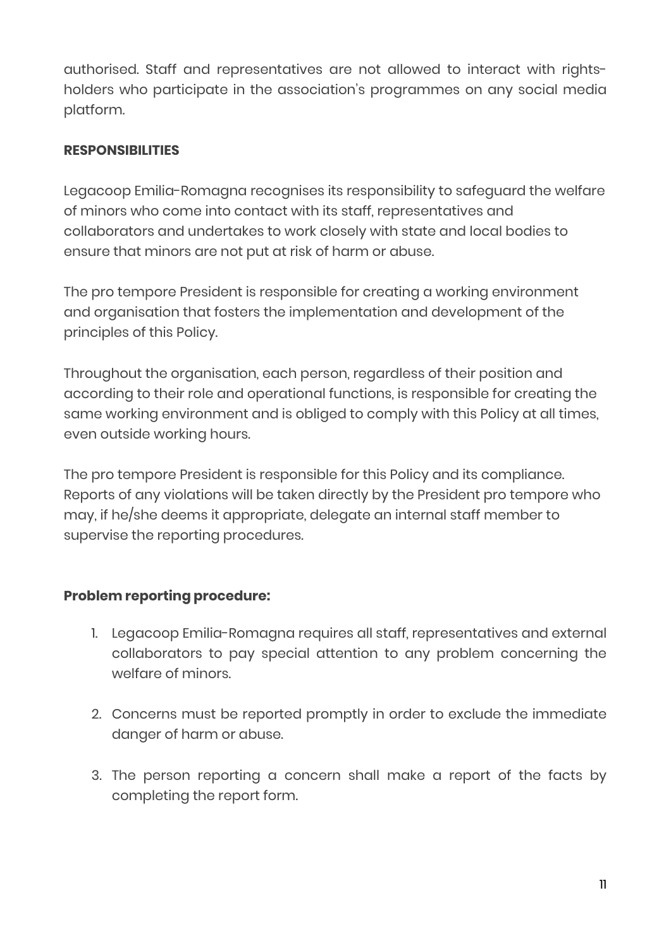authorised. Staff and representatives are not allowed to interact with rightsholders who participate in the association's programmes on any social media platform.

## **RESPONSIBILITIES**

Legacoop Emilia-Romagna recognises its responsibility to safeguard the welfare of minors who come into contact with its staff, representatives and collaborators and undertakes to work closely with state and local bodies to ensure that minors are not put at risk of harm or abuse.

The pro tempore President is responsible for creating a working environment and organisation that fosters the implementation and development of the principles of this Policy.

Throughout the organisation, each person, regardless of their position and according to their role and operational functions, is responsible for creating the same working environment and is obliged to comply with this Policy at all times, even outside working hours.

The pro tempore President is responsible for this Policy and its compliance. Reports of any violations will be taken directly by the President pro tempore who may, if he/she deems it appropriate, delegate an internal staff member to supervise the reporting procedures.

# **Problem reporting procedure:**

- 1. Legacoop Emilia-Romagna requires all staff, representatives and external collaborators to pay special attention to any problem concerning the welfare of minors.
- 2. Concerns must be reported promptly in order to exclude the immediate danger of harm or abuse.
- 3. The person reporting a concern shall make a report of the facts by completing the report form.